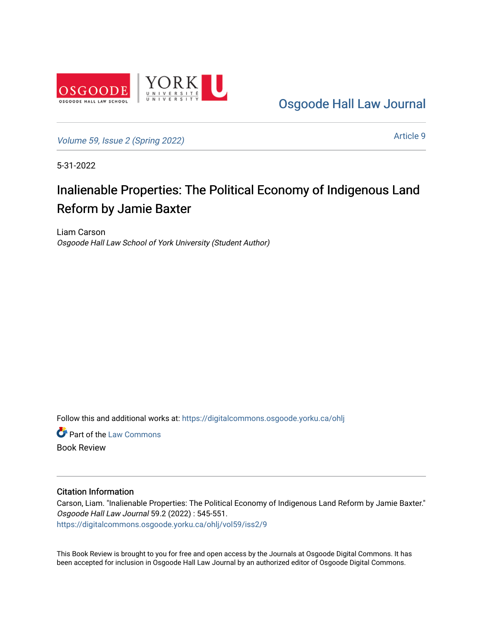

[Osgoode Hall Law Journal](https://digitalcommons.osgoode.yorku.ca/ohlj) 

[Volume 59, Issue 2 \(Spring 2022\)](https://digitalcommons.osgoode.yorku.ca/ohlj/vol59/iss2)

[Article 9](https://digitalcommons.osgoode.yorku.ca/ohlj/vol59/iss2/9) 

5-31-2022

## Inalienable Properties: The Political Economy of Indigenous Land Reform by Jamie Baxter

Liam Carson Osgoode Hall Law School of York University (Student Author)

Follow this and additional works at: [https://digitalcommons.osgoode.yorku.ca/ohlj](https://digitalcommons.osgoode.yorku.ca/ohlj?utm_source=digitalcommons.osgoode.yorku.ca%2Fohlj%2Fvol59%2Fiss2%2F9&utm_medium=PDF&utm_campaign=PDFCoverPages)

**Part of the [Law Commons](https://network.bepress.com/hgg/discipline/578?utm_source=digitalcommons.osgoode.yorku.ca%2Fohlj%2Fvol59%2Fiss2%2F9&utm_medium=PDF&utm_campaign=PDFCoverPages)** Book Review

Citation Information

Carson, Liam. "Inalienable Properties: The Political Economy of Indigenous Land Reform by Jamie Baxter." Osgoode Hall Law Journal 59.2 (2022) : 545-551. [https://digitalcommons.osgoode.yorku.ca/ohlj/vol59/iss2/9](https://digitalcommons.osgoode.yorku.ca/ohlj/vol59/iss2/9?utm_source=digitalcommons.osgoode.yorku.ca%2Fohlj%2Fvol59%2Fiss2%2F9&utm_medium=PDF&utm_campaign=PDFCoverPages) 

This Book Review is brought to you for free and open access by the Journals at Osgoode Digital Commons. It has been accepted for inclusion in Osgoode Hall Law Journal by an authorized editor of Osgoode Digital Commons.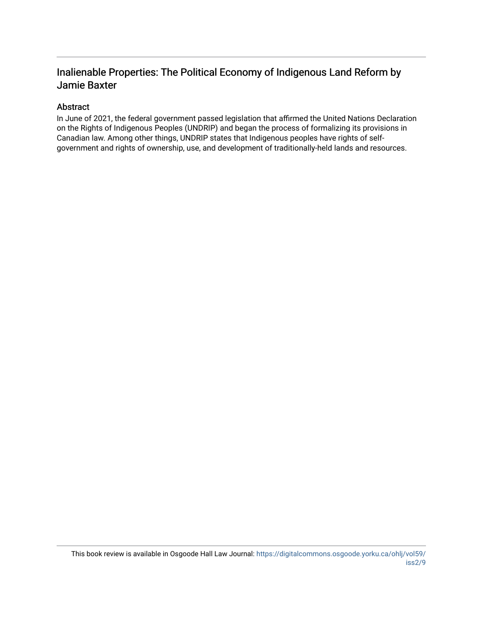## Inalienable Properties: The Political Economy of Indigenous Land Reform by Jamie Baxter

## Abstract

In June of 2021, the federal government passed legislation that affirmed the United Nations Declaration on the Rights of Indigenous Peoples (UNDRIP) and began the process of formalizing its provisions in Canadian law. Among other things, UNDRIP states that Indigenous peoples have rights of selfgovernment and rights of ownership, use, and development of traditionally-held lands and resources.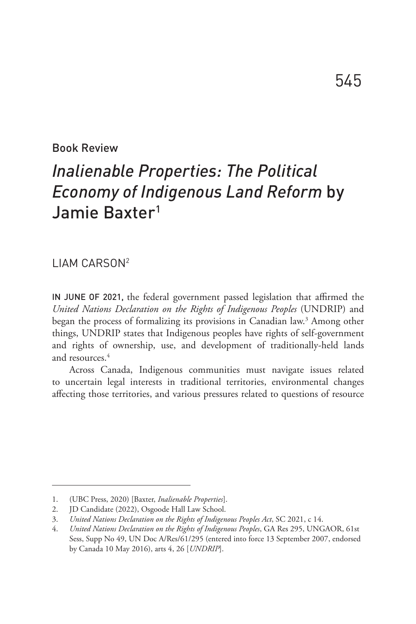Book Review

## *Inalienable Properties: The Political Economy of Indigenous Land Reform* by Jamie Baxter1

LIAM CARSON2

IN JUNE OF 2021, the federal government passed legislation that affirmed the *United Nations Declaration on the Rights of Indigenous Peoples* (UNDRIP) and began the process of formalizing its provisions in Canadian law.3 Among other things, UNDRIP states that Indigenous peoples have rights of self-government and rights of ownership, use, and development of traditionally-held lands and resources.4

Across Canada, Indigenous communities must navigate issues related to uncertain legal interests in traditional territories, environmental changes affecting those territories, and various pressures related to questions of resource

<sup>1.</sup> (UBC Press, 2020) [Baxter, *Inalienable Properties*].

<sup>2.</sup> JD Candidate (2022), Osgoode Hall Law School.

<sup>3.</sup> *United Nations Declaration on the Rights of Indigenous Peoples Act*, SC 2021, c 14.

<sup>4.</sup> *United Nations Declaration on the Rights of Indigenous Peoples*, GA Res 295, UNGAOR, 61st Sess, Supp No 49, UN Doc A/Res/61/295 (entered into force 13 September 2007, endorsed by Canada 10 May 2016), arts 4, 26 [*UNDRIP*].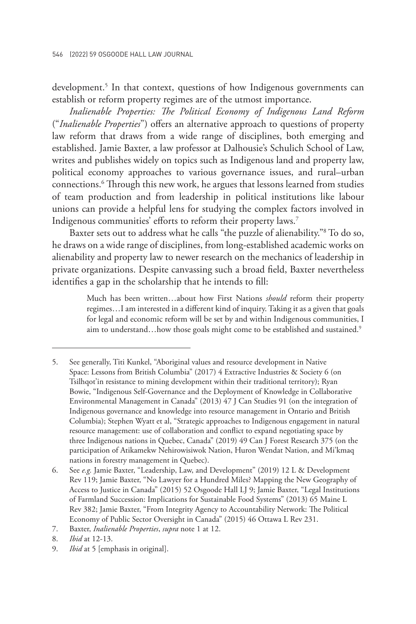development.<sup>5</sup> In that context, questions of how Indigenous governments can establish or reform property regimes are of the utmost importance.

*Inalienable Properties: The Political Economy of Indigenous Land Reform* ("*Inalienable Properties*") offers an alternative approach to questions of property law reform that draws from a wide range of disciplines, both emerging and established. Jamie Baxter, a law professor at Dalhousie's Schulich School of Law, writes and publishes widely on topics such as Indigenous land and property law, political economy approaches to various governance issues, and rural–urban connections.6 Through this new work, he argues that lessons learned from studies of team production and from leadership in political institutions like labour unions can provide a helpful lens for studying the complex factors involved in Indigenous communities' efforts to reform their property laws.7

Baxter sets out to address what he calls "the puzzle of alienability."8 To do so, he draws on a wide range of disciplines, from long-established academic works on alienability and property law to newer research on the mechanics of leadership in private organizations. Despite canvassing such a broad field, Baxter nevertheless identifies a gap in the scholarship that he intends to fill:

> Much has been written…about how First Nations *should* reform their property regimes…I am interested in a different kind of inquiry. Taking it as a given that goals for legal and economic reform will be set by and within Indigenous communities, I aim to understand...how those goals might come to be established and sustained.<sup>9</sup>

<sup>5.</sup> See generally, Titi Kunkel, "Aboriginal values and resource development in Native Space: Lessons from British Columbia" (2017) 4 Extractive Industries & Society 6 (on Tsilhqot'in resistance to mining development within their traditional territory); Ryan Bowie, "Indigenous Self-Governance and the Deployment of Knowledge in Collaborative Environmental Management in Canada" (2013) 47 J Can Studies 91 (on the integration of Indigenous governance and knowledge into resource management in Ontario and British Columbia); Stephen Wyatt et al, "Strategic approaches to Indigenous engagement in natural resource management: use of collaboration and conflict to expand negotiating space by three Indigenous nations in Quebec, Canada" (2019) 49 Can J Forest Research 375 (on the participation of Atikamekw Nehirowisiwok Nation, Huron Wendat Nation, and Mi'kmaq nations in forestry management in Quebec).

<sup>6.</sup> See *e.g.* Jamie Baxter, "Leadership, Law, and Development" (2019) 12 L & Development Rev 119; Jamie Baxter, "No Lawyer for a Hundred Miles? Mapping the New Geography of Access to Justice in Canada" (2015) 52 Osgoode Hall LJ 9; Jamie Baxter, "Legal Institutions of Farmland Succession: Implications for Sustainable Food Systems" (2013) 65 Maine L Rev 382; Jamie Baxter, "From Integrity Agency to Accountability Network: The Political Economy of Public Sector Oversight in Canada" (2015) 46 Ottawa L Rev 231.

<sup>7.</sup> Baxter, *Inalienable Properties*, *supra* note 1 at 12.

<sup>8.</sup> *Ibid* at 12-13.

<sup>9.</sup> *Ibid* at 5 [emphasis in original].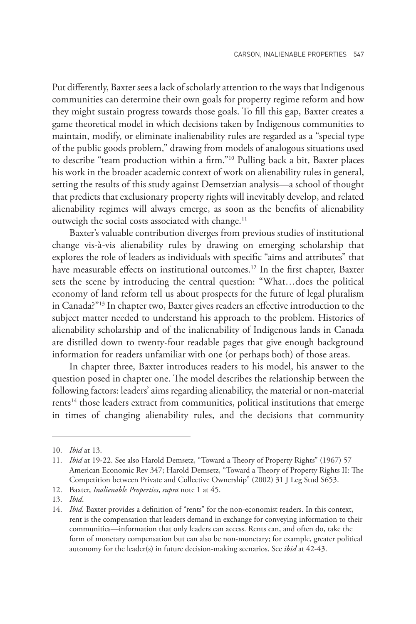Put differently, Baxter sees a lack of scholarly attention to the ways that Indigenous communities can determine their own goals for property regime reform and how they might sustain progress towards those goals. To fill this gap, Baxter creates a game theoretical model in which decisions taken by Indigenous communities to maintain, modify, or eliminate inalienability rules are regarded as a "special type of the public goods problem," drawing from models of analogous situations used to describe "team production within a firm."10 Pulling back a bit, Baxter places his work in the broader academic context of work on alienability rules in general, setting the results of this study against Demsetzian analysis—a school of thought that predicts that exclusionary property rights will inevitably develop, and related alienability regimes will always emerge, as soon as the benefits of alienability outweigh the social costs associated with change.<sup>11</sup>

Baxter's valuable contribution diverges from previous studies of institutional change vis-à-vis alienability rules by drawing on emerging scholarship that explores the role of leaders as individuals with specific "aims and attributes" that have measurable effects on institutional outcomes.<sup>12</sup> In the first chapter, Baxter sets the scene by introducing the central question: "What…does the political economy of land reform tell us about prospects for the future of legal pluralism in Canada?"13 In chapter two, Baxter gives readers an effective introduction to the subject matter needed to understand his approach to the problem. Histories of alienability scholarship and of the inalienability of Indigenous lands in Canada are distilled down to twenty-four readable pages that give enough background information for readers unfamiliar with one (or perhaps both) of those areas.

In chapter three, Baxter introduces readers to his model, his answer to the question posed in chapter one. The model describes the relationship between the following factors: leaders' aims regarding alienability, the material or non-material  $rents<sup>14</sup>$  those leaders extract from communities, political institutions that emerge in times of changing alienability rules, and the decisions that community

<sup>10.</sup> *Ibid* at 13.

<sup>11.</sup> *Ibid* at 19-22. See also Harold Demsetz, "Toward a Theory of Property Rights" (1967) 57 American Economic Rev 347; Harold Demsetz, "Toward a Theory of Property Rights II: The Competition between Private and Collective Ownership" (2002) 31 J Leg Stud S653.

<sup>12.</sup> Baxter, *Inalienable Properties*, *supra* note 1 at 45.

<sup>13.</sup> *Ibid*.

<sup>14.</sup> *Ibid.* Baxter provides a definition of "rents" for the non-economist readers. In this context, rent is the compensation that leaders demand in exchange for conveying information to their communities—information that only leaders can access. Rents can, and often do, take the form of monetary compensation but can also be non-monetary; for example, greater political autonomy for the leader(s) in future decision-making scenarios. See *ibid* at 42-43.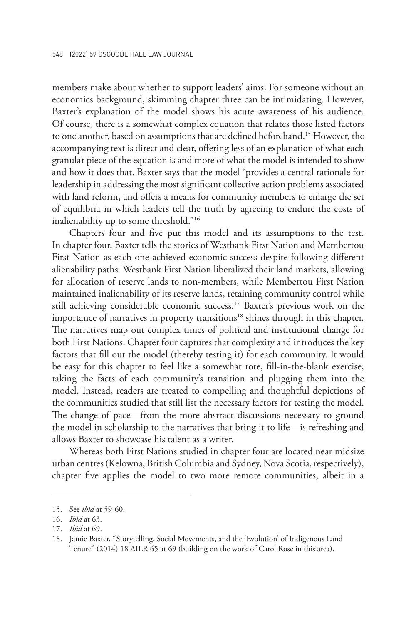members make about whether to support leaders' aims. For someone without an economics background, skimming chapter three can be intimidating. However, Baxter's explanation of the model shows his acute awareness of his audience. Of course, there is a somewhat complex equation that relates those listed factors to one another, based on assumptions that are defined beforehand.15 However, the accompanying text is direct and clear, offering less of an explanation of what each granular piece of the equation is and more of what the model is intended to show and how it does that. Baxter says that the model "provides a central rationale for leadership in addressing the most significant collective action problems associated with land reform, and offers a means for community members to enlarge the set of equilibria in which leaders tell the truth by agreeing to endure the costs of inalienability up to some threshold."16

Chapters four and five put this model and its assumptions to the test. In chapter four, Baxter tells the stories of Westbank First Nation and Membertou First Nation as each one achieved economic success despite following different alienability paths. Westbank First Nation liberalized their land markets, allowing for allocation of reserve lands to non-members, while Membertou First Nation maintained inalienability of its reserve lands, retaining community control while still achieving considerable economic success.17 Baxter's previous work on the importance of narratives in property transitions<sup>18</sup> shines through in this chapter. The narratives map out complex times of political and institutional change for both First Nations. Chapter four captures that complexity and introduces the key factors that fill out the model (thereby testing it) for each community. It would be easy for this chapter to feel like a somewhat rote, fill-in-the-blank exercise, taking the facts of each community's transition and plugging them into the model. Instead, readers are treated to compelling and thoughtful depictions of the communities studied that still list the necessary factors for testing the model. The change of pace—from the more abstract discussions necessary to ground the model in scholarship to the narratives that bring it to life—is refreshing and allows Baxter to showcase his talent as a writer.

Whereas both First Nations studied in chapter four are located near midsize urban centres (Kelowna, British Columbia and Sydney, Nova Scotia, respectively), chapter five applies the model to two more remote communities, albeit in a

<sup>15.</sup> See *ibid* at 59-60.

<sup>16.</sup> *Ibid* at 63.

<sup>17.</sup> *Ibid* at 69.

<sup>18.</sup> Jamie Baxter, "Storytelling, Social Movements, and the 'Evolution' of Indigenous Land Tenure" (2014) 18 AILR 65 at 69 (building on the work of Carol Rose in this area).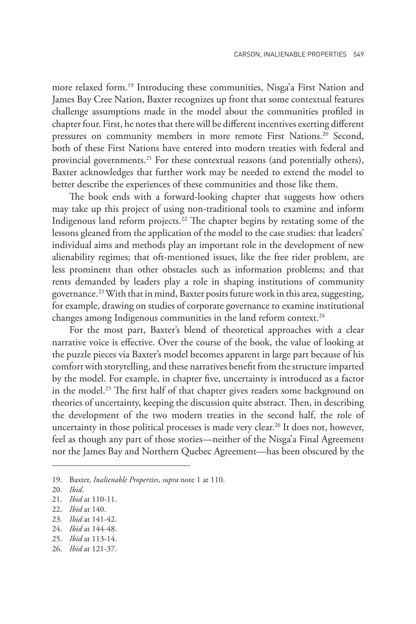more relaxed form.<sup>19</sup> Introducing these communities, Nisga'a First Nation and James Bay Cree Nation, Baxter recognizes up front that some contextual features challenge assumptions made in the model about the communities profiled in chapter four. First, he notes that there will be different incentives exerting different pressures on community members in more remote First Nations.<sup>20</sup> Second, both of these First Nations have entered into modern treaties with federal and provincial governments.<sup>21</sup> For these contextual reasons (and potentially others), Baxter acknowledges that further work may be needed to extend the model to better describe the experiences of these communities and those like them.

The book ends with a forward-looking chapter that suggests how others may take up this project of using non-traditional tools to examine and inform Indigenous land reform projects.22 The chapter begins by restating some of the lessons gleaned from the application of the model to the case studies: that leaders' individual aims and methods play an important role in the development of new alienability regimes; that oft-mentioned issues, like the free rider problem, are less prominent than other obstacles such as information problems; and that rents demanded by leaders play a role in shaping institutions of community governance.23 With that in mind, Baxter posits future work in this area, suggesting, for example, drawing on studies of corporate governance to examine institutional changes among Indigenous communities in the land reform context.<sup>24</sup>

For the most part, Baxter's blend of theoretical approaches with a clear narrative voice is effective. Over the course of the book, the value of looking at the puzzle pieces via Baxter's model becomes apparent in large part because of his comfort with storytelling, and these narratives benefit from the structure imparted by the model. For example, in chapter five, uncertainty is introduced as a factor in the model.<sup>25</sup> The first half of that chapter gives readers some background on theories of uncertainty, keeping the discussion quite abstract. Then, in describing the development of the two modern treaties in the second half, the role of uncertainty in those political processes is made very clear.26 It does not, however, feel as though any part of those stories—neither of the Nisga'a Final Agreement nor the James Bay and Northern Quebec Agreement—has been obscured by the

23. *Ibid* at 141-42.

<sup>19.</sup> Baxter, *Inalienable Properties*, *supra* note 1 at 110.

<sup>20.</sup> *Ibid*.

<sup>21.</sup> *Ibid* at 110-11.

<sup>22.</sup> *Ibid* at 140.

<sup>24.</sup> *Ibid* at 144-48.

<sup>25.</sup> *Ibid* at 113-14.

<sup>26.</sup> *Ibid* at 121-37.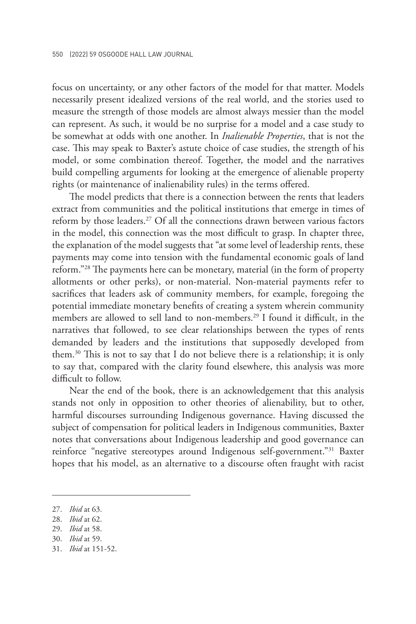focus on uncertainty, or any other factors of the model for that matter. Models necessarily present idealized versions of the real world, and the stories used to measure the strength of those models are almost always messier than the model can represent. As such, it would be no surprise for a model and a case study to be somewhat at odds with one another. In *Inalienable Properties*, that is not the case. This may speak to Baxter's astute choice of case studies, the strength of his model, or some combination thereof. Together, the model and the narratives build compelling arguments for looking at the emergence of alienable property rights (or maintenance of inalienability rules) in the terms offered.

The model predicts that there is a connection between the rents that leaders extract from communities and the political institutions that emerge in times of reform by those leaders.<sup>27</sup> Of all the connections drawn between various factors in the model, this connection was the most difficult to grasp. In chapter three, the explanation of the model suggests that "at some level of leadership rents, these payments may come into tension with the fundamental economic goals of land reform."28 The payments here can be monetary, material (in the form of property allotments or other perks), or non-material. Non-material payments refer to sacrifices that leaders ask of community members, for example, foregoing the potential immediate monetary benefits of creating a system wherein community members are allowed to sell land to non-members.29 I found it difficult, in the narratives that followed, to see clear relationships between the types of rents demanded by leaders and the institutions that supposedly developed from them.30 This is not to say that I do not believe there is a relationship; it is only to say that, compared with the clarity found elsewhere, this analysis was more difficult to follow.

Near the end of the book, there is an acknowledgement that this analysis stands not only in opposition to other theories of alienability, but to other, harmful discourses surrounding Indigenous governance. Having discussed the subject of compensation for political leaders in Indigenous communities, Baxter notes that conversations about Indigenous leadership and good governance can reinforce "negative stereotypes around Indigenous self-government."31 Baxter hopes that his model, as an alternative to a discourse often fraught with racist

- 28. *Ibid* at 62.
- 29. *Ibid* at 58.
- 30. *Ibid* at 59.
- 31. *Ibid* at 151-52.

<sup>27.</sup> *Ibid* at 63.